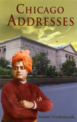# CHICAGO ADDRESSES

# Swami Vivekananda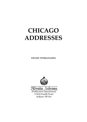# **CHICAGO ADDRESSES**

**SWAMI VIVEKANANDA**

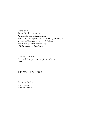*Published by* Swami Bodhasarananda Adhyaksha, Advaita Ashrama Mayavati, Champawat, Uttarakhand, Himalayas *from its publlication Department, Kolkata Email: mail@advaitaashrama.org Website: www.advaitaashrama.org*

*© All rights reserved* Forty-third impression, september 2010 16M

ISBN 9778 - 81-7505-138-6

*Printed in India at* Trio Process Kolkata 700 014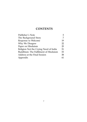## **CONTENTS**

| Publisher's Note                      | 5. |
|---------------------------------------|----|
| The Background Story                  |    |
| Response to Welcome                   | 19 |
| Why We Disagree                       | 22 |
| Paper on Hinduism                     | 25 |
| Religion Not the Crying Need of India | 51 |
| Buddhism: The Fulfilment of Hinduism  | 53 |
| Address at the Final Session          | 58 |
| Appendix                              | 61 |
|                                       |    |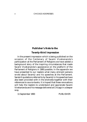## **Publisher's Note to the Twenty-third Impression**

In the present impression which is being published on the occasion of the Centenary of Swami Vivekananda's participation at the Parliament of Religions we have added a background story of the inspiring circumstances that made Swami Vivekananda's appearance on the platform of the Parliament of Religions in 1893 possible. In the appendix we have presented to our readers what many eminent persons wrote about Swamiji and his speeches at the Parliament. Sanskrit quotations referred to by Swamiji in his speeches have also been provided with in the endnotes together with their references to source-books. It is hoped that these renovations will help the readers to understand and appreciate Swami Vivekananda and his message delivered at Chicago in a deeper way.

11 September 1993 PUBLISHER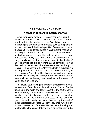# **THE BACKGROUND STORY A Wandering Monk in Search of a Way**

After the passing away of Sri Ramakrishna in August 1886, Swami Vivekananda spent several years in intense spiritual practices, first in the newly established Ramakrishna Monastery at Baranagore, and later at other places, such as the plains of northern India and the Himalayas. He often wanted to enter the deepest Indian forests to lose himself in silent meditation, but every time some obstacle or other—sometimes the sickness of a brother monk, sometimes the death of a devotee—brought him back to a society beset with a thousand and one miseries. He gradually realized that he was not meant to live the life of an ordinary recluse, struggling for personal salvation. He was destined to work for the divine mission entrusted to him by his Master, Sri Ramakrishna. The Master had told him before his passing away that he would have to do `Mother's work', to `teach mankind', and `to be like a banyan tree, giving shelter to the tired, weary travelers.' At this time he felt an inner urge to wander alone over the length and breadth of India in search of a plan of action to follow.

In January 1891, leaving the company of his brother monks, he wandered from place to place, alone with God. At first he travelled in the north and later he went to the south, all the while studying closely the life of the people in every class of society. He was deeply moved by this experience. He wept to see the stagnant life of the Indian masses crushed down by ignorance and poverty, and was disturbed by the spell of materialistic ideas he noticed among the educated, who blindly imitated the glamour of the West. He saw that spirituality was at a low ebb in the land of its birth. The picture of ancient India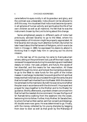#### 6 CHICAGO ADDRESSES

came before his eyes vividly in all its grandeur and glory, and the contrast was unbearable. India should not be allowed to drift this way. He visualised that India must become dynamic in all spheres of human activity and spiritualize the life of her own children as well as all mankind. He felt that he was the instrument chosen by the Lord to bring about this change.

Some enlightened people in different parts of India had previously advised Swamiji to go to the West, where his interpretation of Hinduism might be properly appreciated. At first Swamiji did not pay much attention to them. But when he later heard about the Parliament of Religions, which was to be held in Chicago in 1893, he expressed his desire to attend it, thinking that it might help him in carrying out his divine mission.

In the last lap of his journey he came to Kannyakumari where, sitting on the prominent rock just off the main coast, he reviewed his experiences during his wanderings and meditated deeply on India—her past, present, and future, the causes of her downfall, and the means for her resurrection. All these flashed through his mind, and he took the momentous decision to go to the West to raise funds for the uplift of the Indian masses. In exchange, he decided, he would give the rich spiritual treasures that India had accumulated through the centuries and that he himself had inherited from his Master. With this decision he came back to the mainland. But still he was not sure whether the plan was in accordance with the divine will. He prayed and prayed for days together to the Mother and to his Master for guidance. Shortly afterwards, a symbolic dream convinced him that he had the needed divine command. He saw the figure of Sri Ramakrishna walking from the seashore into the ocean, beckoning him to follow. Further, Holy Mother, Sri Sarada Devi, to whom he had written earlier, sent her consent and blessings. All doubts were now gone. He was determined to go. Finally, with the money collected by his young disciples by begging from door to door as well as that given by the Maharaja of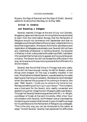Mysore, the Raja of Ramnad and the Raja of Khetri, Swamiji sailed for America from Bombay on 31 May 1893.

#### *Arrival in America*

#### *and Becoming a Delegate*

Swamiji reached Chicago at the end of July via Colombo, Singapore, Japan and Vancouver. Arriving there he was shocked to learn from the Information Bureau that the Parliament of Religions would not commence until September and that no delegate would be admitted without proper credentials from a bona fide organization. Moreover, the time for admittance and registration of delegates was already over. Swamiji did not have any credentials whatsoever. In sending Swamiji, his disciples in Madras, in their unbounded enthusiasm and faith, had taken it for granted that he had only to appear and he would be given a chance. The Swami too did not foresee the difficulties in the way, as he was sure he was moving towards the fulfilment of a divine mission.

Swamiji also found that living in Chicago was very costly. As he did not have enough money, he left for Boston, where things were cheaper. On the way a wealthy traveller in the train, Miss Katherine Abbott Sanborn, was attracted by his noble bearing and charming conversation. She became more interested when she learned the purpose of his coming to America. She said, "Well, Swami, I invite you to come to my home to live. Perhaps something will turn up in your favour." The invitation was a God-send for the Swami, who readily consented and started living at her village home in Massachusetts near Boston. Through her Swamiji became acquainted with Mr. J. H. Wright, a professor of Greek at Harvard University. After a four hour conversation with Swamiji, the Professor was so impressed by his learning and wisdom that he took it upon himself to arrange for his admittance to the Parliament of Religions as a delegate. "This is the only way you can be introduced to the nation at large," he told Swamiji. Swamiji had explained his difficulties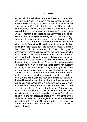and had said that he had no credentials. Thereupon Prof. Wright had exclaimed, "To ask you, Swami, for credentials is like asking the sun to state its right to shine." He at once wrote to the Chairman of the Committee for the Selection of the Delegates, who happened to be his friend: "Here is a man who is more learned than all our professors put together." He also gave Swamiji letters of introduction to the Committee that looked after the Oriental delegates, and bought him a ticket to Chicago. Unfortunately, when Swamiji arrived in Chicago on 9th September, he found to his dismay that he had mislaid the address of the Committee. He made enquiries of passersby, but it being the north-east side of the city where mostly Germans lived, they could not understand him. The chilly nights of September were coming on. So Swamiji, who would soon shake America by his address at the Parliament, found no other alternative than to take shelter in an empty boxcar in the railroad freight yard. He soon freed himself from all anxieties and slept there, trusting in the guidance of the Lord. In the morning he set out to find his way. He soon came to one of the rich quarters of the city. Extremely tired and hungry, he sought help from house to house as a sannyasin in India would. Seeing his soiled clothes and worn out appearance, the servants in the houses treated him rudely, sometimes slamming the door in his face. After a while, exhausted and resigning himself to the will of the Lord he sat down on the roadside. Just then the door of a fashionable residence opposite him opened and a lady of regal appearance came out and spoke to him in a soft voice, "Sir, are you a delegate to the Parliament of Religions?" Swamiji told her of his difficulties. She at once invited him into her house and attended to his immediate needs. Later, when Swamiji had taken food and had rested, she took him to the office of the Parliament of Religions. He was gladly accepted as a delegate and lodged with the other Oriental guests. His deliverer was Mrs. George W. Hale. She and her children became Swamiji's warmest friends.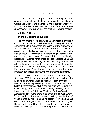A new spirit now took possession of Swamiji. He was convinced beyond doubt that the Lord was with him. His days were spent in prayer and meditation, and in the earnest longing that he might be made a true instrument of the Lord, a true spokesman of Hinduism, a true bearer of his Master's message.

#### *On the Platform*

#### *of the Parliament of Religions*

The Parliament of Religions was an adjunct of the World's Columbian Exposition, which was held in Chicago in 1893 to celebrate the four hundredth anniversary of the discovery of America by Christopher Columbus. Some of the declared objectives of the Parliament were to present the important truths held and taught in common by different religions of the world and to bring the nations of the earth into a more friendly relationship. But many thought and hoped that the Parliament would prove the superiority of their own religion over the others. However, through divine dispensation, as it were, the validity of all religions ultimately became the keynote of the Parliament, and Swami Vivekananda became the most impressive and eloquent mouthpiece of that central theme.

The first session of the Parliament was held on Monday, 11 September 1893, in the spacious hall of the Art Institute. Its huge galleries were packed up with more than 4,000 people men and women representing the best culture of the United States. Representatives of all organized religions—Buddhism, Christianity, Confucianism, Hinduism, Jainism, Judaism, Mohammedanism, Shintoism, Theism, ( Brahmo Samaj ) and Zoroastrianism—were there, and among them was Swami Vivekananda, rapt in silent prayer, attracting the attention of the audience by his commanding presence. The Parliament opened with a prayer, after which the Chairman, Reverend J. H. Barrows, introduced the delegates one by one, who then read their prepared speeches. But Swamiji had no such written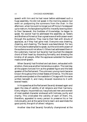#### 10 CHICAGO ADDRESSES

speech with him and he had never before addressed such a huge assembly. He did not speak in the morning session but went on postponing the summons from the chair. In the afternoon, when he could no longer put off his turn he stepped up to rostrum, his face glowing like fire. Inwardly bowing down to Devi Saraswati, the Goddess of Knowledge, he began to speak. No sooner had he addressed the assembly as `Sisters and Brothers of America' than a great wave of enthusiasm went through the audience. They rose to their feet with shouts of applause, as if they had gone mad. Everyone was cheering, cheering, and cheering. The Swami was bewildered. For two full minutes he attempted to speak, but the wild enthusiasm of the audience would not allow it. Others had addressed them in the customary manner but Swamiji had touched the deepest chord of their heart by discarding formality and stressing the kinship of all people. After the applause subsided the Swami made a brief speech.

When Swamiji had finished and sat down, exhausted with emotion, there was another tremendous ovation. The next day all the papers lionized him as the greatest figure and the best speaker of the Parliament. The unknown young monk became known throughout the United States of America. `His life-size portraits were posted on the roadside in Chicago with his name written beneath it, and many showed reverence to it with bowed heads.'

In his speeches at the Parliament Swamiji stressed again and again the idea of validity of all religions and their harmony. Every religion, he pointed out, has produced men and women of most exalted character endowed with holiness, purity and charity. This vindicated the validity of each of them. He, therefore, appealed to every person to preserve his or her individuality and at the same time to learn and assimilate the good points, the spirit of others' religions.

Another idea that Swamiji forcefully championed at the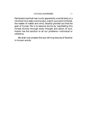Parliament was that man is only apparently a mortal body or a mind but he is really a divine soul, a spirit, pure and immortal, the master of matter and mind. Swamiji pointed out that the goal of human life is to become divine by manifesting this inmost divinity through every thought and action of ours. Herein lies the solution to all our problems—individual or collective.

 We shall now present the soul-stirring lectures of Swamiji in his own words.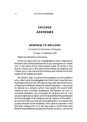# *CHICAGO ADDRESSES*

#### **RESPONSE TO WELCOME**

*At the World's Parliament of Religions, Chicago, 11 September 1893*

Sisters and Brothers of America,

It fills my heart with joy unspeakable to rise in response to the warm and cordial welcome which you have given us. I thank you in the name of the most ancient order of monks in the world; I thank you in the name of the mother of religions; and I thank you in the name of the millions and millions of Hindu people of all classes and sects.

My thanks, also, to some of the speakers on this platform who, referring to the delegates from the Orient, have told you that these men from far-off nations may well claim the honour of bearing to different lands the idea of toleration. I am proud to belong to a religion which has taught the world both tolerance and universal acceptance. We believe not only in universal toleration, but we accept all religions as true. I am proud to belong to a nation which has sheltered the persecuted and the refugees of all religions and all nations of the earth. I am proud to tell you that we have gathered in our bosom the purest remnant of the Israelites, who came to southern India and took refuge with us in the very year in which their holy temple was shattered to pieces by Roman tyranny. I am proud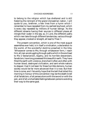to belong to the religion which has sheltered and is still fostering the remnant of the grand Zoroastrian nation. I will quote to you, brethren, a few lines from a hymn which I remember to have repeated from my earliest boyhood, which is every day repeated by millions of human beings: `As the different streams having their sources in different places all mingle their water in the sea, so, O Lord, the different paths which men take through different tendencies, various though they appear, crooked or straight, all lead to Thee.'1

The present convention, which is one of the most august assemblies ever held, is in itself a vindication, a declaration to the world, of the wonderful doctrine preached in the Gita: `Whosoever comes to Me, through whatsoever form, I reach him; all men are struggling through paths which in the end lead to Me.'2 Sectarianism, bigotry, and its horrible descendant, fanaticism, have long possessed this beautiful earth. They have filled the earth with violence, drenched it often and often with human blood, destroyed civilization, and sent whole nations to despair. Had it not been for these horrible demons, human society would be far more advanced than it is now. But their time is come; and I fervently hope that the bell that tolled this morning in honour of this convention may be the death-knell of all fanaticism, of all persecutions with the sword or with the pen, and of all uncharitable feelings between persons wending their way to the same goal.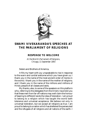

# **SWAMI VIVEKANANDA'S SPEECHES AT THE PARLIAMENT OF RELIGIONS**

#### **RESPONSE TO WELCOME**

*At the World's Parliament of Religions, Chicago, 11 September 1893*

Sisters and Brothers of America,

It fills my heart with joy unspeakable to rise in response to the warm and cordial welcome which you have given us. I thank you in the name of the most ancient order of monks in the world; I thank you in the name of the mother of religions; and I thank you in the name of the millions and millions of Hindu people of all classes and sects.

My thanks, also, to some of the speakers on this platform who, referring to the delegates from the Orient, have told you that these men from far-off nations may well claim the honour of bearing to different lands the idea of toleration. I am proud to belong to a religion which has taught the world both tolerance and universal acceptance. We believe not only in universal toleration, but we accept all religions as true. I am proud to belong to a nation which has sheltered the persecuted and the refugees of all religions and all nations of the earth. I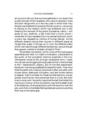am proud to tell you that we have gathered in our bosom the purest remnant of the Israelites, who came to southern India and took refuge with us in the very year in which their holy temple was shattered to pieces by Roman tyranny. I am proud to belong to the religion which has sheltered and is still fostering the remnant of the grand Zoroastrian nation. I will quote to you, brethren, a few lines from a hymn which I remember to have repeated from my earliest boyhood, which is every day repeated by millions of human beings: 'As the different streams having their sources in different places all mingle their water in the sea, so, O Lord, the different paths which men take through different tendencies, various though they appear, crooked or straight, all lead to Thee.'1

The present convention, which is one of the most august assemblies ever held, is in itself a vindication, a declaration to the world, of the wonderful doctrine preached in the *Gita*: 'Whosoever comes to Me, through whatsoever form, I reach him; all men are struggling through paths which in the end lead to Me.'2 Sectarianism, bigotry, and its horrible descendant, fanaticism, have long possessed this beautiful earth. They have filled the earth with violence, drenched it often and often with human blood, destroyed civilization, and sent whole nations to despair. Had it not been for these horrible demons, human society would be far more advanced than it is now. But their time is come; and I fervently hope that the bell that tolled this morning in honour of this convention may be the death-knell of all fanaticism, of all persecutions with the sword or with the pen, and of all uncharitable feelings between persons wending their way to the same goal.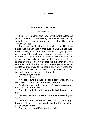#### **WHY WE DISAGREE**

*15 September 1893*

I will tell you a little story. You have heard the eloquent speaker who has just finished say, 'Let us cease from abusing each other,' and he was very sorry that there should be always so much variance.

But I think I should tell you a story which would illustrate the cause of this variance. A frog lived in a well. It had lived there for a long time. It was born there and brought up there, and yet was a little, small frog. Of course the evolutionists were not there then to tell us whether the frog lost its eyes or not, but, for our story's sake, we must take it for granted that it had its eyes, and that it every day cleansed the water of all the worms and bacilli that lived in it with an energy that would do credit to our modern bacteriologists. In this way it went on and became a little sleek and fat. Well, one day another frog that lived in the sea came and fell into the well.

'Where are you from?'

'I am from the sea.'

'The sea! How big is that? Is it as big as my well?' and he took a leap from one side of the well to the other.

'My friend,' said the frog of the sea, 'how do you compare the sea with your little well?'

Then the frog took another leap and asked, 'Is your sea so big?'

'What nonsense you speak, to compare the sea with your well!'

'Well, then,' said the frog of the well, 'nothing can be bigger than my well; there can be nothing bigger than this; this fellow is a liar, so turn him out.'

That has been the difficulty all the while.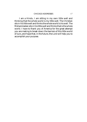I am a Hindu. I am sitting in my own little well and thinking that the whole world is my little well. The Christian sits in his little well and thinks the whole world is his well. The Mohammedan sits in his little well and thinks that is the whole world. I have to thank you of America for the great attempt you are making to break down the barriers of this little world of ours, and hope that, in the future, the Lord will help you to accomplish your purpose.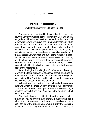#### **PAPER ON HINDUISM**

*Read at the Parliament on 19 September 1893*

Three religions now stand in the world which have come down to us from time prehistoric—Hinduism, Zoroastrianism, and Judaism. They have all received tremendous shocks, and all of them prove by their survival their internal strength. But while Judaism failed to absorb Christianity and was driven out of its place of birth by its all-conquering daughter, and a handful of Parsees is all that remains to tell the tale of their grand religion, sect after sect arose in India and seemed to shake the religion of the Vedas to its very foundations, but like the waters of the seashore in a tremendous earthquake it receded only for a while, only to return in an all-absorbing flood, a thousand times more vigorous, and when the tumult of the rush was over, these sects were all sucked in, absorbed, and assimilated into the immense body of the mother faith.

From the high spiritual flights of the Vedanta philosophy, of which the latest discoveries of science seem like echoes, to the low ideas of idolatry with its multifarious mythology, the agnosticism of the Buddhists, and the atheism of the Jains, each and all have a place in the Hindu's religion.

Where then, the question arises, where is the common centre to which all these widely diverging radii converge? Where is the common basis upon which all these seemingly hopeless contradictions rest? And this is the question I shall attempt to answer.

The Hindus have received their religion through revelation, the Vedas. They hold that the Vedas are without beginning and without end. It may sound ludicrous to this audience, how a book can be without beginning or end. But by the Vedas no books are meant. They mean the accumulated treasury of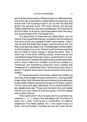spiritual laws discovered by different persons in different times. Just as the law of gravitation existed before its discovery, and would exist if all humanity forgot it, so is it with the laws that govern the spiritual world. The moral, ethical, and spiritual relations between soul and soul and between individual spirits and the Father of all spirits, were there before their discovery, and would remain even if we forgot them.

The discoverers of these laws are called Rishis, and we honour them as perfected beings. I am glad to tell this audience that some of the very greatest of them were women. Here it may be said that these laws as laws may be without end, but they must have had a beginning. The Vedas teach us that creation is without beginning or end. Science is said to have proved that the sum total of cosmic energy is always the same. Then, if there was a time when nothing existed, where was all this manifested energy? Some say it was in a potential form in God. In that case God is sometimes potential and sometimes kinetic, which would make Him mutable. Everything mutable is a compound, and everything compound must undergo that change which is called destruction. So God would die, which is absurd. Therefore there never was a time when there was no creation.

If I may be allowed to use a simile, creation and creator are two lines, without beginning and without end, running parallel to each other. God is the ever active providence, by whose power systems after systems are being evolved out of chaos, made to run for a time, and again destroyed. This is what the Brahmin boy repeats every day: 'The sun and the moon, the Lord created like the suns and moons of previous cycles.'3 And this agrees with modern science.

Here I stand and if I shut my eyes, and try to conceive my existence, 'I,' 'I,' 'I,' what is the idea before me? The idea of a body. Am I, then, nothing but a combination of material substances? The Vedas declare, 'No.' I am a spirit living in a body. I am not the body. The body will die, but I shall not die.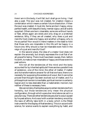Here I am in this body; it will fall, but I shall go on living. I had also a past. The soul was not created, for creation means a combination which means a certain future dissolution. If then the soul was created, it must die. Some are born happy, enjoy perfect health, with beautiful body, mental vigour, and all wants supplied. Others are born miserable, some are without hands or feet, others again are idiots and only drag on a wretched existence. Why, if they are all created, why does a just and merciful God create one happy and another unhappy, why is He so partial? Nor would it mend matters in the least to hold that those who are miserable in this life will be happy in a future one. Why should a man be miserable even here in the reign of a just and merciful God?

In the second place, the idea of a creator God does not explain the anomaly, but simply expresses the cruel fiat of an all-powerful being. There must have been causes, then, before his birth, to make a man miserable or happy and those were his past actions.

Are not all the tendencies of the mind and the body accounted for by inherited aptitude? Here are two parallel lines of existence—one of the mind, the other of matter. If matter and its transformations answer for all that we have, there is no necessity for supposing the existence of a soul. But it cannot be proved that thought has been evolved out of matter, and if a philosophical monism is inevitable, spiritual monism is certainly logical and no less desirable than a materialistic monism; but neither of these is necessary here.

We cannot deny that bodies acquire certain tendencies from heredity, but those tendencies only mean the physical configuration, through which a peculiar mind alone can act in a peculiar way. There are other tendencies peculiar to a soul caused by his past actions. And a soul with a certain tendency would by the laws of affinity take birth in a body which is the fittest instrument for the display of that tendency. This is in accord with science, for science wants to explain everything by habit, and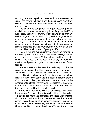habit is got through repetitions. So repetitions are necessary to explain the natural habits of a new-born soul. And since they were not obtained in this present life, they must have come down from past lives.

There is another suggestion. Taking all these for granted, how is it that I do not remember anything of my past life? This can be easily explained. I am now speaking English. It is not my mother tongue, in fact no words of my mother tongue are now present in my consciousness; but let me try to bring them up, and they rush in. That shows that consciousness is only the surface of the mental ocean, and within its depths are stored up all our experiences. Try and struggle, they would come up and you would be conscious even of your past life.

This is direct and demonstrative evidence. Verification is the perfect proof of a theory, and here is the challenge thrown to the world by the Rishis. We have discovered the secret by which the very depths of the ocean of memory can be stirred up—try it and you would get a complete reminiscence of your past life.

So then the Hindu believes that he is a spirit. Him the sword cannot pierce—him the fire cannot burn—him the water cannot melt—him the air cannot dry.4 The Hindu believes that every soul is a circle whose circumference is nowhere, but whose centre is located in the body, and that death means the change of this centre from body to body. Nor is the soul bound by the conditions of matter. In its very essence, it is free, unbounded, holy, pure, and perfect. But somehow or other it finds itself tied down to matter, and thinks of itself as matter.

Why should the free, perfect, and pure being be thus under the thraldom of matter, is the next question. How can the perfect soul be deluded into the belief that it is imperfect? We have been told that the Hindus shirk the question and say that no such question can be there. Some thinkers want to answer it by positing one or more quasi-perfect beings, and use big scientific names to fill up the gap. But naming is not explaining. The question remains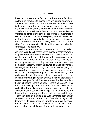the same. How can the perfect become the quasi-perfect; how can the pure, the absolute change even a microscopic particle of its nature? But the Hindu is sincere. He does not want to take shelter under sophistry. He is brave enough to face the question in a manly fashion; and his answer is: 'I do not know. I do not know how the perfect being, the soul, came to think of itself as imperfect, as joined to and conditioned by matter.' But the fact is a fact for all that. It is a fact in everybody's consciousness that one thinks of oneself as the body. The Hindu does not attempt to explain why one thinks one is the body. The answer that it is the will of God is no explanation. This is nothing more than what the Hindu says, 'I do not know.'

Well, then, the human soul is eternal and immortal, perfect and infinite, and death means only a change of centre from one body to another. The present is determined by our past actions, and the future by the present. The soul will go on evolving up or reverting back from birth to birth and death to death. But here is another question: Is man a tiny boat in a tempest, raised one moment on the foamy crest of a billow and dashed down into a yawning chasm the next, rolling to and fro at the mercy of good and bad actions—a powerless, helpless wreck in an ever-raging, ever-rushing, uncompromising current of cause and effect, a little moth placed under the wheel of causation, which rolls on crushing everything in its way and waits not for the widow's tears or the orphan's cry? The heart sinks at the idea, yet this is the law of nature. Is there no hope? Is there no escape?—was the cry that went up from the bottom of the heart of despair. It reached the throne of mercy, and words of hope and consolation came down and inspired a Vedic sage, and he stood up before the world and in trumpet voice proclaimed the glad tidings: 'Hear, ye children of immortal bliss! Even ye that reside in higher spheres! I have found the Ancient One who is beyond all darkness, all delusion: knowing Him alone you shall be saved from death over again.' 5 'Children of immortal bliss'—what a sweet, what a hopeful name! Allow me to call you, brethren,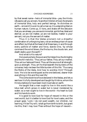by that sweet name—heirs of immortal bliss—yea, the Hindu refuses to call you sinners. Ye are the Children of God, the sharers of immortal bliss, holy and perfect beings. Ye divinities on earth—sinners! It is a sin to call a man so; it is a standing libel on human nature. Come up, O lions, and shake off the delusion that you are sheep; you are souls immortal, spirits free, blest and eternal; ye are not matter, ye are not bodies; matter is your servant, not you the servant of matter.

Thus it is that the Vedas proclaim not a dreadful combination of unforgiving laws, not an endless prison of cause and effect, but that at the head of all these laws, in and through every particle of matter and force, stands One, 'by whose command the wind blows, the fire burns, the clouds rain, and death stalks upon the earth'.6

And what is His nature?

He is everywhere, the pure and formless One, the Almighty and the All-merciful. 'Thou art our father, Thou art our mother, Thou art our beloved friend. Thou art the source of all strength; give us strength. Thou art He that beareth the burdens of the universe; help me bear the little burden of this life.' Thus sang the Rishis of the Veda. And how to worship Him? Through love. 'He is to be worshipped as the one beloved, dearer than everything in this and the next life.'

This is the doctrine of love declared in the Vedas, and let us see how it is fully developed and taught by Krishna, whom the Hindus believe to have been God incarnate on earth.

He taught that a man ought to live in this world like a lotus leaf, which grows in water but is never moistened by water; so a man ought to live in the world—his heart to God and his hands to work.

It is good to love God for hope of reward in this or the next world, but it is better to love God for love's sake, and the prayer goes: 'Lord, I do not want wealth, nor children, nor learning. If it be Thy will, I shall go from birth to birth, but grant me this, that I may love Thee without the hope of reward—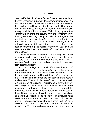love unselfishly for love's sake.' 7 One of the disciples of Krishna, the then Emperor of India, was driven from his kingdom by his enemies and had to take shelter with his queen, in a forest in the Himalayas, and there one day the queen asked him how it was that he, the most virtuous of men, should suffer so much misery. Yudhishthira answered, 'Behold, my queen, the Himalayas, how grand and beautiful they are; I love them. They do not give me anything, but my nature is to love the grand, the beautiful, therefore I love them. Similarly, I love the Lord. He is the source of all beauty, of all sublimity. He is the only object to be loved; my nature is to love Him, and therefore I love. I do not pray for anything; I do not ask for anything. Let Him place me wherever He likes. I must love Him for love's sake. I cannot trade in love.'8

The Vedas teach that the soul is divine, only held in the bondage of matter; perfection will be reached when this bond will burst, and the word they use for it is therefore, Mukti freedom, freedom from the bonds of imperfection, freedom from death and misery.

And this bondage can only fall off through the mercy of God, and this mercy comes on the pure. So purity is the condition of His mercy. How does that mercy act? He reveals Himself to the pure heart; the pure and the stainless see God, yea, even in this life; then and then only all the crookedness of the heart is made straight. Then all doubt ceases.9 He is no more the freak of a terrible law of causation. This is the very centre, the very vital conception of Hinduism. The Hindu does not want to live upon words and theories. If there are existences beyond the ordinary sensuous existence, he wants to come face to face with them. If there is a soul in him which is not matter, if there is an all-merciful universal Soul, he will go to Him direct. He must see Him, and that alone can destroy all doubts. So the best proof a Hindu sage gives about the soul, about God, is: 'I have seen the soul; I have seen God.' And that is the only condition of perfection. The Hindu religion does not consist in struggles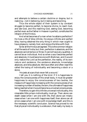and attempts to believe a certain doctrine or dogma, but in realizing—not in believing, but in being and becoming.

Thus the whole object of their system is by constant struggle to become perfect, to become divine, to reach God, and see God, and this reaching God, seeing God, becoming perfect even as the Father in Heaven is perfect, constitutes the religion of the Hindus.

And what becomes of a man when he attains perfection? He lives a life of bliss infinite. He enjoys infinite and perfect bliss, having obtained the only thing in which man ought to have pleasure, namely God, and enjoys the bliss with God.

So far all the Hindus are agreed. This is the common religion of all the sects of India; but, then, perfection is absolute, and the absolute cannot be two or three. It cannot have any qualities. It cannot be an individual. And so when a soul becomes perfect and absolute, it must become one with Brahman, and it would only realize the Lord as the perfection, the reality, of its own nature and existence, the existence absolute, knowledge absolute, and bliss absolute. We have often and often read this called the losing of individuality and becoming a stock or a stone.

'He jests at scars that never felt a wound.'

I tell you it is nothing of the kind. If it is happiness to enjoy the consciousness of this small body, it must be greater happiness to enjoy the consciousness of two bodies, the measure of happiness increasing with the consciousness of an increasing number of bodies, the aim, the ultimate of happiness being reached when it would become a universal consciousness.

Therefore, to gain this infinite universal individuality, this miserable little prison-individuality must go. Then alone can death cease when I am one with life, then alone can misery cease when I am one with happiness itself, then alone can all errors cease when I am one with knowledge itself; and this is the necessary scientific conclusion. Science has proved to me that physical individuality is a delusion, that really my body is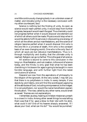one little continuously changing body in an unbroken ocean of matter; and Advaita (unity) is the necessary conclusion with my other counterpart, Soul.

Science is nothing but the finding of unity. As soon as science would reach perfect unity, it would stop from further progress, because it would reach the goal. Thus chemistry could not progress farther when it would discover one element out of which all others could be made. Physics would stop when it would be able to fulfil its services in discovering one energy of which all the others are but manifestations, and the science of religion become perfect when it would discover Him who is the one life in a universe of death, Him who is the constant basis of an ever-changing world, One who is the only Soul of which all souls are but delusive manifestations. Thus is it, through multiplicity and duality, that the ultimate unity is reached. Religion can go no farther. This is the goal of all science.

All science is bound to come to this conclusion in the long run. Manifestation, and not creation, is the word of science today, and the Hindu is only glad that what he has been cherishing in his bosom for ages is going to be taught in more forcible language, and with further light from the latest conclusions of science.

Descend we now from the aspirations of philosophy to the religion of the ignorant. At the very outset, I may tell you that there is no polytheism in India. In every temple, if one stands by and listens, one will find the worshippers applying all the attributes of God, including omnipresence, to the images. It is not polytheism, nor would the name henotheism explain the situation. 'The rose, called by any other name, would smell as sweet.' Names are not explanations.

I remember, as a boy, hearing a Christian missionary preach to a crowd in India. Among other sweet things he was telling them was that if he gave a blow to their idol with his stick, what could it do? One of his hearers sharply answered, 'If I abuse your God, what can He do?' 'You would be punished,'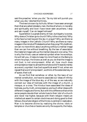said the preacher, 'when you die.' 'So my idol will punish you when you die,' retorted the Hindu.

The tree is known by its fruits. When I have seen amongst them that are called idolaters, men, the like of whom, in morality and spirituality and love I have never seen anywhere, I stop and ask myself, 'Can sin beget holiness?'

Superstition is a great enemy of man, but bigotry is worse. Why does a Christian go to church? Why is the cross holy? Why is the face turned toward the sky in prayer? Why are there so many images in the Catholic Church? Why are there so many images in the minds of Protestants when they pray? My brethren, we can no more think about anything without a mental image than we can live without breathing. By the law of association the material image calls up the mental idea and vice versa. This is why the Hindu uses an external symbol when he worships. He will tell you, it helps to keep his mind fixed on the Being to whom he prays. He knows as well as you do that the image is not God, is not omnipresent. After all, how much does omnipresence mean to almost the whole world? It stands merely as a word, a symbol. Has God superficial area? If not, when we repeat that word 'omnipresent', we think of the extended sky or of space, that is all.

As we find that somehow or other, by the laws of our mental constitution, we have to associate our ideas of infinity with the image of the blue sky, or of the sea, so we naturally connect our idea of holiness with the image of a church, a mosque, or a cross. The Hindus have associated the ideas of holiness, purity, truth, omnipresence, and such other ideas with different images and forms. But with this difference that while some people devote their whole lives to their idol of a church and never rise higher, because with them religion means an intellectual assent to certain doctrines and doing good to their fellows, the whole religion of the Hindu is centred in realization. Man is to become divine by realizing the divine. Idols or temples or churches or books are only the supports, the helps,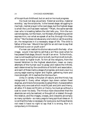of his spiritual childhood; but on and on he must progress.

He must not stop anywhere. 'External worship, material worship,' say the scriptures, 'is the lowest stage; struggling to rise high, mental prayer is the next stage, but the highest stage is when the Lord has been realized<sup>, 10</sup> Mark, the same earnest man who is kneeling before the idol tells you, 'Him the sun cannot express, nor the moon, nor the stars, the lightning cannot express Him, nor what we speak of as fire; through Him they shine.'11 But he does not abuse any one's idol or call its worship sin. He recognizes in it a necessary stage of life. 'The child is father of the man.' Would it be right for an old man to say that childhood is a sin or youth a sin?

If a man can realize his divine nature with the help of an image, would it be right to call that a sin? Nor, even when he has passed that stage, should he call it an error. To the Hindu, man is not travelling from error to truth, but from truth to truth, from lower to higher truth. To him all the religions, from the lowest fetishism to the highest absolutism, mean so many attempts of the human soul to grasp and realize the Infinite, each determined by the conditions of its birth and association, and each of these marks a stage of progress; and every soul is a young eagle soaring higher and higher, gathering more and more strength, till it reaches the Glorious Sun.

Unity in variety is the plan of nature, and the Hindu has recognized it. Every other religion lays down certain fixed dogmas, and tries to force society to adopt them. It places before society only one coat which must fit Jack and John and Henry, all alike. If it does not fit John or Henry, he must go without a coat to cover his body. The Hindus have discovered that the absolute can only be realized, or thought of, or stated, through the relative, and the images, crosses, and crescents are simply so many symbols—so many pegs to hang spiritual ideas on. It is not that this help is necessary for everyone, but those that do not need it have no right to say that it is wrong. Nor is it compulsory in Hinduism.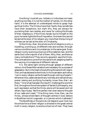One thing I must tell you. Idolatry in India does not mean anything horrible. It is not the mother of harlots. On the other hand, it is the attempt of undeveloped minds to grasp high spiritual truths. The Hindus have their faults, they sometimes have their exceptions; but mark this, they are always for punishing their own bodies, and never for cutting the throats of their neighbours. If the Hindu fanatic burns himself on the pyre, he never lights the fire of Inquisition. And even this cannot be laid at the door of his religion any more than the burning of witches can be laid at the door of Christianity.

To the Hindu, then, the whole world of religions is only a travelling, a coming up, of different men and women, through various conditions and circumstances, to the same goal. Every religion is only evolving a God out of the material man, and the same God is the inspirer of all of them. Why, then, are there so many contradictions? They are only apparent, says the Hindu. The contradictions come from the same truth adapting itself to the varying circumstances of different natures.

It is the same light coming through glasses of different colours. And these little variations are necessary for purposes of adaptation. But in the heart of everything the same truth reigns. The Lord has declared to the Hindu in His incarnation as Krishna: 'I am in every religion as the thread through a string of pearls.12 Wherever thou seest extraordinary holiness and extraordinary power raising and purifying humanity, know thou that I am there.'13 And what has been the result? I challenge the world to find, throughout the whole system of Sanskrit philosophy, any such expression as that the Hindu alone will be saved and not others. Says Vyasa, 'We find perfect men even beyond the pale of our caste and creed.'14 One thing more. How, then, can the Hindu, whose whole fabric of thought centres in God, believe in Buddhism which is agnostic, or in Jainism which is atheistic?

The Buddhists or the Jains do not depend upon God; but the whole force of their religion is directed to the great central truth in every religion, to evolve a God out of man. They have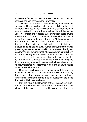not seen the Father, but they have seen the Son. And he that hath seen the Son hath seen the Father also.

This, brethren, is a short sketch of the religious ideas of the Hindus. The Hindu may have failed to carry out all his plans, but if there is ever to be a universal religion, it must be one which will have no location in place or time; which will be infinite like the God it will preach, and whose sun will shine upon the followers of Krishna and of Christ, on saints and sinners alike; which will not be Brahminic or Buddhistic, Christian or Mohammedan, but the sum total of all these, and still have infinite space for development; which in its catholicity will embrace in its infinite arms, and find a place for, every human being, from the lowest grovelling savage not far removed from the brute, to the highest man towering by the virtues of his head and heart almost above humanity, making society stand in awe of him and doubt his human nature. It will be a religion which will have no place for persecution or intolerance in its polity, which will recognize divinity in every man and woman, and whose whole scope, whose whole force, will be centred in aiding humanity to realize its own true, divine nature.

Offer such a religion, and all the nations will follow you. Ashoka's council was a council of the Buddhist faith. Akbar's, though more to the purpose, was only a parlour meeting. It was reserved for America to proclaim to all quarters of the globe that the Lord is in every religion.

May He who is the Brahman of the Hindus, the Ahura-Mazda of the Zoroastrians, the Buddha of the Buddhists, the Jehovah of the Jews, the Father in Heaven of the Christians,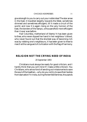give strength to you to carry out your noble idea! The star arose in the East; it travelled steadily towards the West, sometimes dimmed and sometimes effulgent, till it made a circuit of the world; and now it is again rising on the very horizon of the East, the borders of the Sanpo, a thousandfold more effulgent than it ever was before.

Hail Columbia, motherland of liberty! It has been given to thee, who never dipped her hand in her neighbour's blood, who never found out that the shortest way of becoming rich was by robbing one's neighbours, it has been given to thee to march at the vanguard of civilization with the flag of harmony.

#### **RELIGION NOT THE CRYING NEED OF INDIA**

#### *20 September 1893*

Christians must always be ready for good criticism, and I hardly think that you will mind if I make a little criticism. You Christians, who are so fond of sending out missionaries to save the soul of the heathen—why do you not try to save their bodies from starvation? In India, during the terrible famines, thousands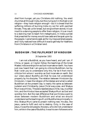died from hunger, yet you Christians did nothing. You erect churches all through India, but the crying evil in the East is not religion—they have religion enough—but it is bread that the suffering millions of burning India cry out for with parched throats. They ask us for bread, but we give them stones. It is an insult to a starving people to offer them religion; it is an insult to a starving man to teach him metaphysics. In India a priest that preached for money would lose caste and be spat upon by the people. I came here to seek aid for my impoverished people, and I fully realized how difficult it was to get help for heathens from Christians in a Christian land.

#### **BUDDHISM : THE FULFILMENT OF HINDUISM**

#### *26 September 1893*

I am not a Buddhist, as you have heard, and yet I am. If China, or Japan, or Ceylon follow the teachings of the Great Master, India worships him as God incarnate on earth. You have just now heard that I am going to criticize Buddhism, but by that I wish you to understand only this. Far be it from me to criticize him whom I worship as God incarnate on earth. But our views about Buddha are that he was not understood properly by his disciples. The relation between Hinduism (by Hinduism, I mean the religion of the Vedas) and what is called Buddhism at the present day is nearly the same as between Judaism and Christianity. Jesus Christ was a Jew, and Shakya Muni was a Hindu. The Jews rejected Jesus Christ, nay, crucified him, and the Hindus have accepted Shakya Muni as God and worship him. But the real difference that we Hindus want to show between modern Buddhism and what we should understand as the teachings of Lord Buddha lies principally in this: Shakya Muni came to preach nothing new. He also, like Jesus, came to fulfil and not to destroy. Only, in the case of Jesus, it was the old people, the Jews, who did not understand him, while in the case of Buddha, it was his own followers who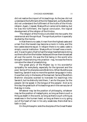did not realize the import of his teachings. As the Jew did not understand the fulfilment of the Old Testament, so the Buddhist did not understand the fulfilment of the truths of the Hindu religion. Again, I repeat, Shakya Muni came not to destroy, but he was the fulfilment, the logical conclusion, the logical development of the religion of the Hindus.

 The religion of the Hindus is divided into two parts: the ceremonial and the spiritual. The spiritual portion is specially studied by the monks.

In that there is no caste. A man from the highest caste and a man from the lowest may become a monk in India, and the two castes become equal. In religion there is no caste; caste is simply a social institution. Shakya Muni himself was a monk, and it was his glory that he had the large-heartedness to bring out the truths from the hidden Vedas and throw them broadcast all over the world. He was the first being in the world who brought missionarizing into practice—nay, he was the first to conceive the idea of proselytizing.

The great glory of the Master lay in his wonderful sympathy for everybody, especially for the ignorant and the poor. Some of his disciples were Brahmins. When Buddha was teaching, Sanskrit was no more the spoken language in India. It was then only in the books of the learned. Some of Buddha's Brahmin disciples wanted to translate his teachings into Sanskrit, but he distinctly told them, 'I am for the poor, for the people: let me speak in the tongue of the people.' And so to this day the great bulk of his teachings are in the vernacular of that day in India.

Whatever may be the position of philosophy, whatever may be the position of metaphysics, so long as there is such a thing as death in the world, so long as there is such a thing as weakness in the human heart, so long as there is a cry going out of the heart of man in his very weakness, there shall be a faith in God.

On the philosophic side the disciples of the Great Master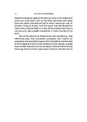#### 34 CHICAGO ADDRESSES

dashed themselves against the eternal rocks of the Vedas and could not crush them, and on the other side they took away from the nation that eternal God to which everyone, man or woman, clings so fondly. And the result was that Buddhism had to die a natural death in India. At the present day there is not one who calls oneself a Buddhist in India, the land of its birth.

But at the same time, Brahminism lost something—that reforming zeal, that wonderful sympathy and charity for everybody, that wonderful leaven which Buddhism had brought to the masses and which had rendered Indian society so great that a Greek historian who wrote about India of that time was led to say that no Hindu was known to tell an untruth and no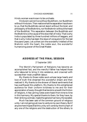Hindu woman was known to be unchaste.

Hinduism cannot live without Buddhism, nor Buddhism without Hinduism. Then realize what the separation has shown to us, that the Buddhists cannot stand without the brain and philosophy of the Brahmins, nor the Brahmin without the heart of the Buddhist. This separation between the Buddhists and the Brahmins is the cause of the downfall of India. That is why India is populated by three hundred millions of beggars, and that is why India has been the slave of conquerors for the last thousand years. Let us then join the wonderful intellect of the Brahmin with the heart, the noble soul, the wonderful humanizing power of the Great Master.

#### **ADDRESS AT THE FINAL SESSION**

#### *27 September 1893*

The World's Parliament of Religions has become an accomplished fact, and the merciful Father has helped those who laboured to bring it into existence, and crowned with success their most unselfish labour.

My thanks to those noble souls whose large hearts and love of truth first dreamed this wonderful dream and then realized it. My thanks to the shower of liberal sentiments that has overflowed this platform. My thanks to this enlightened audience for their uniform kindness to me and for their appreciation of every thought that tends to smooth the friction of religions. A few jarring notes were heard from time to time in this harmony. My special thanks to them, for they have, by their striking contrast, made the general harmony the sweeter.

Much has been said of the common ground of religious unity. I am not going just now to venture my own theory. But if anyone here hopes that this unity will come by the triumph of any one of the religions and the destruction of the others, to